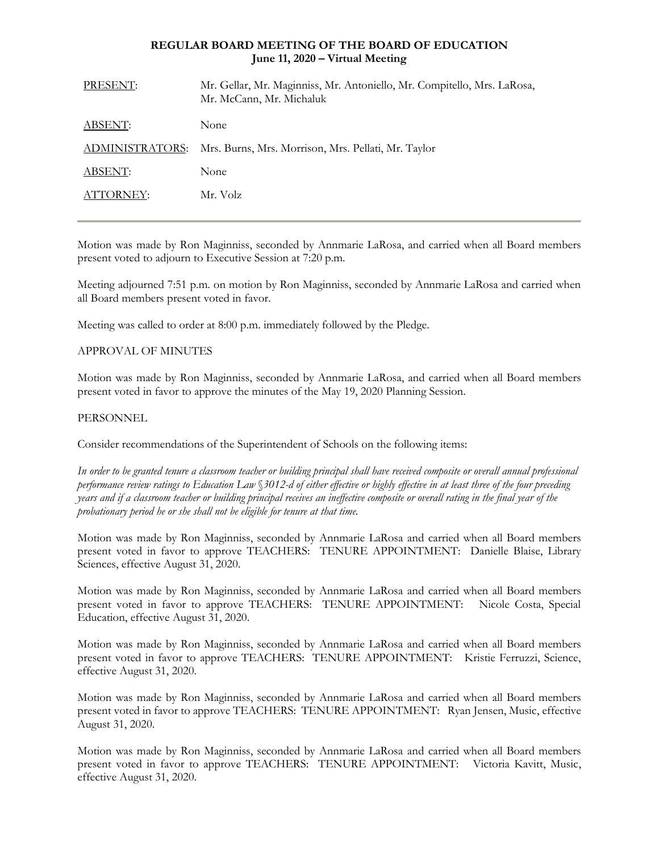# **REGULAR BOARD MEETING OF THE BOARD OF EDUCATION June 11, 2020 – Virtual Meeting**

| PRESENT:        | Mr. Gellar, Mr. Maginniss, Mr. Antoniello, Mr. Compitello, Mrs. LaRosa,<br>Mr. McCann, Mr. Michaluk |
|-----------------|-----------------------------------------------------------------------------------------------------|
| <b>ABSENT:</b>  | None                                                                                                |
| ADMINISTRATORS: | Mrs. Burns, Mrs. Morrison, Mrs. Pellati, Mr. Taylor                                                 |
| ABSENT:         | None                                                                                                |
| ATTORNEY:       | Mr. Volz                                                                                            |
|                 |                                                                                                     |

Motion was made by Ron Maginniss, seconded by Annmarie LaRosa, and carried when all Board members present voted to adjourn to Executive Session at 7:20 p.m.

Meeting adjourned 7:51 p.m. on motion by Ron Maginniss, seconded by Annmarie LaRosa and carried when all Board members present voted in favor.

Meeting was called to order at 8:00 p.m. immediately followed by the Pledge.

# APPROVAL OF MINUTES

Motion was made by Ron Maginniss, seconded by Annmarie LaRosa, and carried when all Board members present voted in favor to approve the minutes of the May 19, 2020 Planning Session.

# PERSONNEL

Consider recommendations of the Superintendent of Schools on the following items:

*In order to be granted tenure a classroom teacher or building principal shall have received composite or overall annual professional performance review ratings to Education Law* §*3012-d of either effective or highly effective in at least three of the four preceding years and if a classroom teacher or building principal receives an ineffective composite or overall rating in the final year of the probationary period he or she shall not be eligible for tenure at that time.*

Motion was made by Ron Maginniss, seconded by Annmarie LaRosa and carried when all Board members present voted in favor to approve TEACHERS: TENURE APPOINTMENT: Danielle Blaise, Library Sciences, effective August 31, 2020.

Motion was made by Ron Maginniss, seconded by Annmarie LaRosa and carried when all Board members present voted in favor to approve TEACHERS: TENURE APPOINTMENT: Nicole Costa, Special Education, effective August 31, 2020.

Motion was made by Ron Maginniss, seconded by Annmarie LaRosa and carried when all Board members present voted in favor to approve TEACHERS: TENURE APPOINTMENT: Kristie Ferruzzi, Science, effective August 31, 2020.

Motion was made by Ron Maginniss, seconded by Annmarie LaRosa and carried when all Board members present voted in favor to approve TEACHERS: TENURE APPOINTMENT: Ryan Jensen, Music, effective August 31, 2020.

Motion was made by Ron Maginniss, seconded by Annmarie LaRosa and carried when all Board members present voted in favor to approve TEACHERS: TENURE APPOINTMENT: Victoria Kavitt, Music, effective August 31, 2020.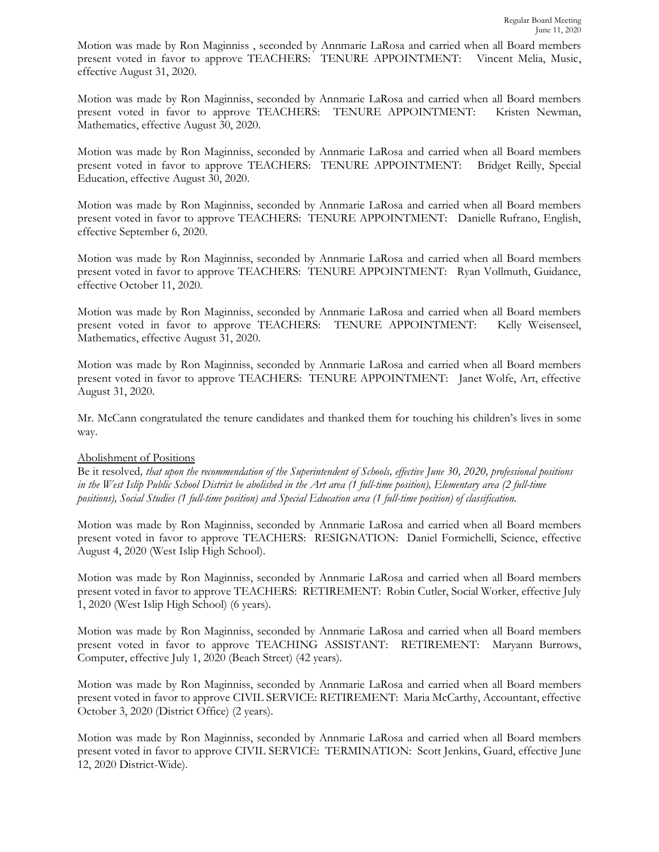Motion was made by Ron Maginniss , seconded by Annmarie LaRosa and carried when all Board members present voted in favor to approve TEACHERS: TENURE APPOINTMENT: Vincent Melia, Music, effective August 31, 2020.

Motion was made by Ron Maginniss, seconded by Annmarie LaRosa and carried when all Board members present voted in favor to approve TEACHERS: TENURE APPOINTMENT: Kristen Newman, Mathematics, effective August 30, 2020.

Motion was made by Ron Maginniss, seconded by Annmarie LaRosa and carried when all Board members present voted in favor to approve TEACHERS: TENURE APPOINTMENT: Bridget Reilly, Special Education, effective August 30, 2020.

Motion was made by Ron Maginniss, seconded by Annmarie LaRosa and carried when all Board members present voted in favor to approve TEACHERS: TENURE APPOINTMENT: Danielle Rufrano, English, effective September 6, 2020.

Motion was made by Ron Maginniss, seconded by Annmarie LaRosa and carried when all Board members present voted in favor to approve TEACHERS: TENURE APPOINTMENT: Ryan Vollmuth, Guidance, effective October 11, 2020.

Motion was made by Ron Maginniss, seconded by Annmarie LaRosa and carried when all Board members present voted in favor to approve TEACHERS: TENURE APPOINTMENT: Kelly Weisenseel, Mathematics, effective August 31, 2020.

Motion was made by Ron Maginniss, seconded by Annmarie LaRosa and carried when all Board members present voted in favor to approve TEACHERS: TENURE APPOINTMENT: Janet Wolfe, Art, effective August 31, 2020.

Mr. McCann congratulated the tenure candidates and thanked them for touching his children's lives in some way.

#### Abolishment of Positions

Be it resolved*, that upon the recommendation of the Superintendent of Schools, effective June 30, 2020, professional positions in the West Islip Public School District be abolished in the Art area (1 full-time position), Elementary area (2 full-time positions), Social Studies (1 full-time position) and Special Education area (1 full-time position) of classification.* 

Motion was made by Ron Maginniss, seconded by Annmarie LaRosa and carried when all Board members present voted in favor to approve TEACHERS: RESIGNATION: Daniel Formichelli, Science, effective August 4, 2020 (West Islip High School).

Motion was made by Ron Maginniss, seconded by Annmarie LaRosa and carried when all Board members present voted in favor to approve TEACHERS: RETIREMENT: Robin Cutler, Social Worker, effective July 1, 2020 (West Islip High School) (6 years).

Motion was made by Ron Maginniss, seconded by Annmarie LaRosa and carried when all Board members present voted in favor to approve TEACHING ASSISTANT: RETIREMENT: Maryann Burrows, Computer, effective July 1, 2020 (Beach Street) (42 years).

Motion was made by Ron Maginniss, seconded by Annmarie LaRosa and carried when all Board members present voted in favor to approve CIVIL SERVICE: RETIREMENT: Maria McCarthy, Accountant, effective October 3, 2020 (District Office) (2 years).

Motion was made by Ron Maginniss, seconded by Annmarie LaRosa and carried when all Board members present voted in favor to approve CIVIL SERVICE: TERMINATION: Scott Jenkins, Guard, effective June 12, 2020 District-Wide).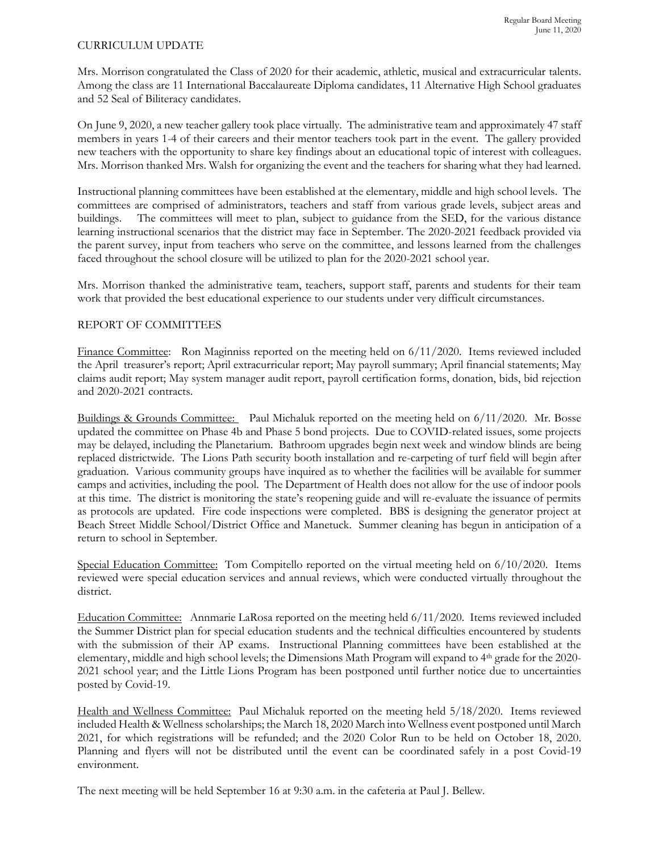#### CURRICULUM UPDATE

Mrs. Morrison congratulated the Class of 2020 for their academic, athletic, musical and extracurricular talents. Among the class are 11 International Baccalaureate Diploma candidates, 11 Alternative High School graduates and 52 Seal of Biliteracy candidates.

On June 9, 2020, a new teacher gallery took place virtually. The administrative team and approximately 47 staff members in years 1-4 of their careers and their mentor teachers took part in the event. The gallery provided new teachers with the opportunity to share key findings about an educational topic of interest with colleagues. Mrs. Morrison thanked Mrs. Walsh for organizing the event and the teachers for sharing what they had learned.

Instructional planning committees have been established at the elementary, middle and high school levels. The committees are comprised of administrators, teachers and staff from various grade levels, subject areas and buildings. The committees will meet to plan, subject to guidance from the SED, for the various distance learning instructional scenarios that the district may face in September. The 2020-2021 feedback provided via the parent survey, input from teachers who serve on the committee, and lessons learned from the challenges faced throughout the school closure will be utilized to plan for the 2020-2021 school year.

Mrs. Morrison thanked the administrative team, teachers, support staff, parents and students for their team work that provided the best educational experience to our students under very difficult circumstances.

# REPORT OF COMMITTEES

Finance Committee: Ron Maginniss reported on the meeting held on 6/11/2020. Items reviewed included the April treasurer's report; April extracurricular report; May payroll summary; April financial statements; May claims audit report; May system manager audit report, payroll certification forms, donation, bids, bid rejection and 2020-2021 contracts.

Buildings & Grounds Committee: Paul Michaluk reported on the meeting held on 6/11/2020. Mr. Bosse updated the committee on Phase 4b and Phase 5 bond projects. Due to COVID-related issues, some projects may be delayed, including the Planetarium. Bathroom upgrades begin next week and window blinds are being replaced districtwide. The Lions Path security booth installation and re-carpeting of turf field will begin after graduation. Various community groups have inquired as to whether the facilities will be available for summer camps and activities, including the pool. The Department of Health does not allow for the use of indoor pools at this time. The district is monitoring the state's reopening guide and will re-evaluate the issuance of permits as protocols are updated. Fire code inspections were completed. BBS is designing the generator project at Beach Street Middle School/District Office and Manetuck. Summer cleaning has begun in anticipation of a return to school in September.

Special Education Committee: Tom Compitello reported on the virtual meeting held on  $6/10/2020$ . Items reviewed were special education services and annual reviews, which were conducted virtually throughout the district.

Education Committee: Annmarie LaRosa reported on the meeting held 6/11/2020. Items reviewed included the Summer District plan for special education students and the technical difficulties encountered by students with the submission of their AP exams. Instructional Planning committees have been established at the elementary, middle and high school levels; the Dimensions Math Program will expand to 4th grade for the 2020- 2021 school year; and the Little Lions Program has been postponed until further notice due to uncertainties posted by Covid-19.

Health and Wellness Committee: Paul Michaluk reported on the meeting held 5/18/2020. Items reviewed included Health & Wellness scholarships; the March 18, 2020 March into Wellness event postponed until March 2021, for which registrations will be refunded; and the 2020 Color Run to be held on October 18, 2020. Planning and flyers will not be distributed until the event can be coordinated safely in a post Covid-19 environment.

The next meeting will be held September 16 at 9:30 a.m. in the cafeteria at Paul J. Bellew.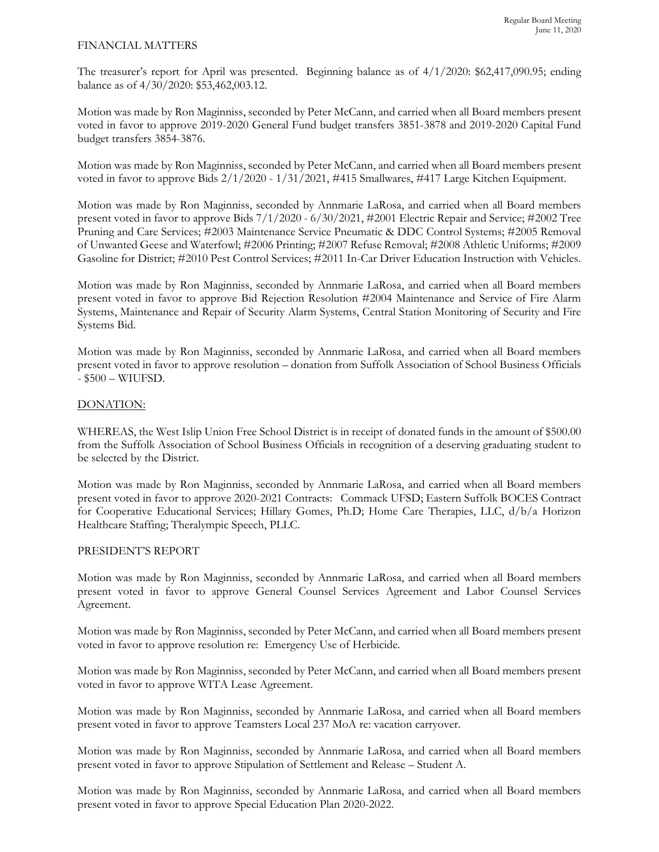## FINANCIAL MATTERS

The treasurer's report for April was presented. Beginning balance as of 4/1/2020: \$62,417,090.95; ending balance as of 4/30/2020: \$53,462,003.12.

Motion was made by Ron Maginniss, seconded by Peter McCann, and carried when all Board members present voted in favor to approve 2019-2020 General Fund budget transfers 3851-3878 and 2019-2020 Capital Fund budget transfers 3854-3876.

Motion was made by Ron Maginniss, seconded by Peter McCann, and carried when all Board members present voted in favor to approve Bids 2/1/2020 - 1/31/2021, #415 Smallwares, #417 Large Kitchen Equipment.

Motion was made by Ron Maginniss, seconded by Annmarie LaRosa, and carried when all Board members present voted in favor to approve Bids 7/1/2020 - 6/30/2021, #2001 Electric Repair and Service; #2002 Tree Pruning and Care Services; #2003 Maintenance Service Pneumatic & DDC Control Systems; #2005 Removal of Unwanted Geese and Waterfowl; #2006 Printing; #2007 Refuse Removal; #2008 Athletic Uniforms; #2009 Gasoline for District; #2010 Pest Control Services; #2011 In-Car Driver Education Instruction with Vehicles.

Motion was made by Ron Maginniss, seconded by Annmarie LaRosa, and carried when all Board members present voted in favor to approve Bid Rejection Resolution #2004 Maintenance and Service of Fire Alarm Systems, Maintenance and Repair of Security Alarm Systems, Central Station Monitoring of Security and Fire Systems Bid.

Motion was made by Ron Maginniss, seconded by Annmarie LaRosa, and carried when all Board members present voted in favor to approve resolution – donation from Suffolk Association of School Business Officials - \$500 – WIUFSD.

# DONATION:

WHEREAS, the West Islip Union Free School District is in receipt of donated funds in the amount of \$500.00 from the Suffolk Association of School Business Officials in recognition of a deserving graduating student to be selected by the District.

Motion was made by Ron Maginniss, seconded by Annmarie LaRosa, and carried when all Board members present voted in favor to approve 2020-2021 Contracts: Commack UFSD; Eastern Suffolk BOCES Contract for Cooperative Educational Services; Hillary Gomes, Ph.D; Home Care Therapies, LLC, d/b/a Horizon Healthcare Staffing; Theralympic Speech, PLLC.

#### PRESIDENT'S REPORT

Motion was made by Ron Maginniss, seconded by Annmarie LaRosa, and carried when all Board members present voted in favor to approve General Counsel Services Agreement and Labor Counsel Services Agreement.

Motion was made by Ron Maginniss, seconded by Peter McCann, and carried when all Board members present voted in favor to approve resolution re: Emergency Use of Herbicide.

Motion was made by Ron Maginniss, seconded by Peter McCann, and carried when all Board members present voted in favor to approve WITA Lease Agreement.

Motion was made by Ron Maginniss, seconded by Annmarie LaRosa, and carried when all Board members present voted in favor to approve Teamsters Local 237 MoA re: vacation carryover.

Motion was made by Ron Maginniss, seconded by Annmarie LaRosa, and carried when all Board members present voted in favor to approve Stipulation of Settlement and Release – Student A.

Motion was made by Ron Maginniss, seconded by Annmarie LaRosa, and carried when all Board members present voted in favor to approve Special Education Plan 2020-2022.